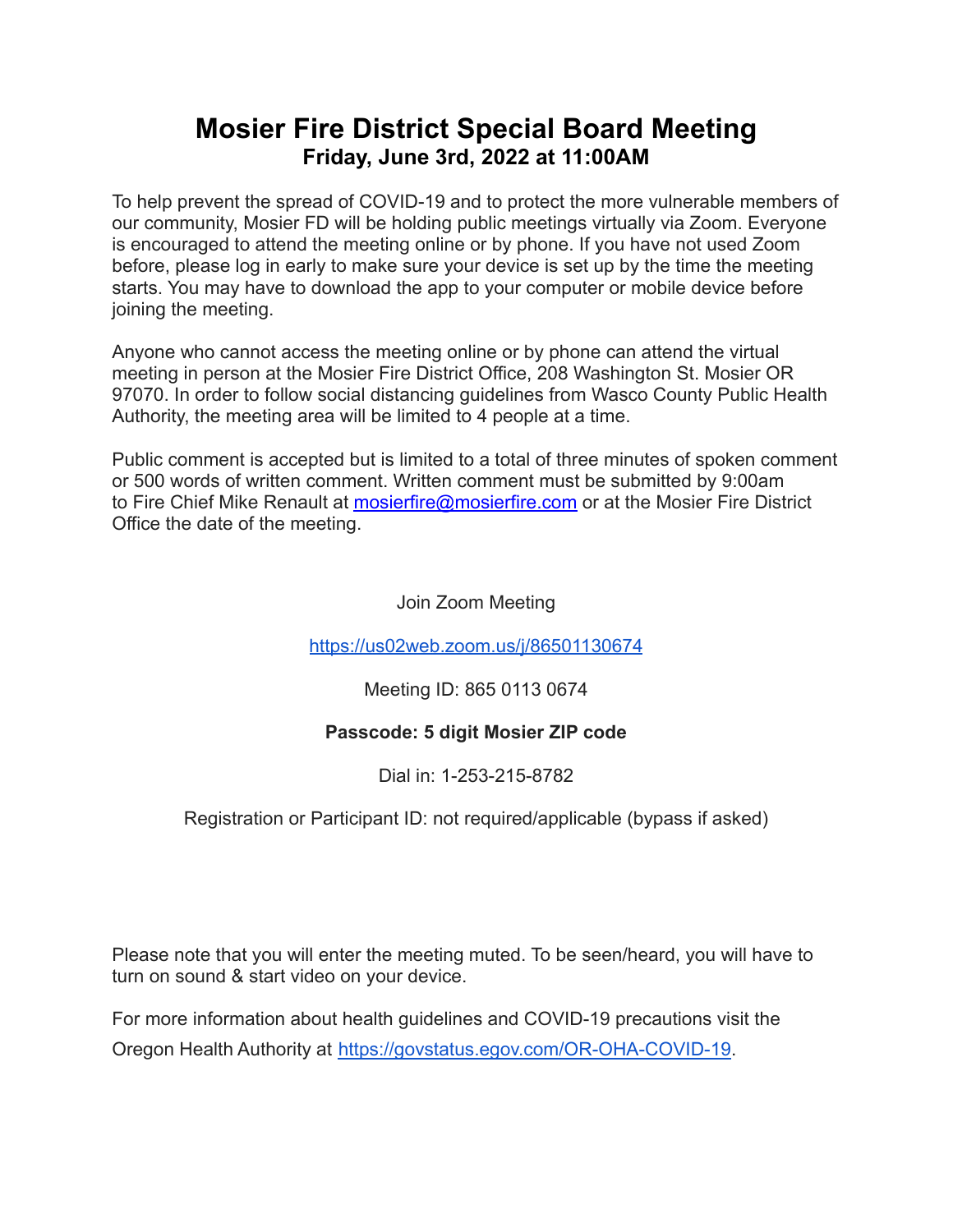## **Mosier Fire District Special Board Meeting Friday, June 3rd, 2022 at 11:00AM**

To help prevent the spread of COVID-19 and to protect the more vulnerable members of our community, Mosier FD will be holding public meetings virtually via Zoom. Everyone is encouraged to attend the meeting online or by phone. If you have not used Zoom before, please log in early to make sure your device is set up by the time the meeting starts. You may have to download the app to your computer or mobile device before joining the meeting.

Anyone who cannot access the meeting online or by phone can attend the virtual meeting in person at the Mosier Fire District Office, 208 Washington St. Mosier OR 97070. In order to follow social distancing guidelines from Wasco County Public Health Authority, the meeting area will be limited to 4 people at a time.

Public comment is accepted but is limited to a total of three minutes of spoken comment or 500 words of written comment. Written comment must be submitted by 9:00am to Fire Chief Mike Renault at [mosierfire@mosierfire.com](mailto:mosierfire@mosierfire.com) or at the Mosier Fire District Office the date of the meeting.

Join Zoom Meeting

<https://us02web.zoom.us/j/86501130674>

Meeting ID: 865 0113 0674

### **Passcode: 5 digit Mosier ZIP code**

Dial in: 1-253-215-8782

Registration or Participant ID: not required/applicable (bypass if asked)

Please note that you will enter the meeting muted. To be seen/heard, you will have to turn on sound & start video on your device.

For more information about health guidelines and COVID-19 precautions visit the Oregon Health Authority at [https://govstatus.egov.com/OR-OHA-COVID-19.](https://govstatus.egov.com/OR-OHA-COVID-19)